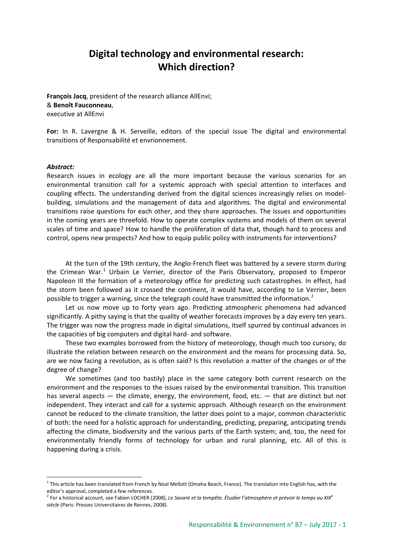## **Digital technology and environmental research: Which direction?**

**François Jacq**, president of the research alliance AllEnvi; & **Benoît Fauconneau**, executive at AllEnvi

**For:** In R. Lavergne & H. Serveille, editors of the special issue The digital and environmental transitions of Responsabilité et envrionnement.

## *Abstract:*

Research issues in ecology are all the more important because the various scenarios for an environmental transition call for a systemic approach with special attention to interfaces and coupling effects. The understanding derived from the digital sciences increasingly relies on modelbuilding, simulations and the management of data and algorithms. The digital and environmental transitions raise questions for each other, and they share approaches. The issues and opportunities in the coming years are threefold. How to operate complex systems and models of them on several scales of time and space? How to handle the proliferation of data that, though hard to process and control, opens new prospects? And how to equip public policy with instruments for interventions?

At the turn of the 19th century, the Anglo-French fleet was battered by a severe storm during the Crimean War.<sup>[1](#page-0-0)</sup> Urbain Le Verrier, director of the Paris Observatory, proposed to Emperor Napoleon III the formation of a meteorology office for predicting such catastrophes. In effect, had the storm been followed as it crossed the continent, it would have, according to Le Verrier, been possible to trigger a warning, since the telegraph could have transmitted the information.<sup>[2](#page-0-1)</sup>

Let us now move up to forty years ago. Predicting atmospheric phenomena had advanced significantly. A pithy saying is that the quality of weather forecasts improves by a day every ten years. The trigger was now the progress made in digital simulations, itself spurred by continual advances in the capacities of big computers and digital hard- and software.

These two examples borrowed from the history of meteorology, though much too cursory, do illustrate the relation between research on the environment and the means for processing data. So, are we now facing a revolution, as is often said? Is this revolution a matter of the changes or of the degree of change?

We sometimes (and too hastily) place in the same category both current research on the environment and the responses to the issues raised by the environmental transition. This transition has several aspects — the climate, energy, the environment, food, etc. — that are distinct but not independent. They interact and call for a systemic approach. Although research on the environment cannot be reduced to the climate transition, the latter does point to a major, common characteristic of both: the need for a holistic approach for understanding, predicting, preparing, anticipating trends affecting the climate, biodiversity and the various parts of the Earth system; and, too, the need for environmentally friendly forms of technology for urban and rural planning, etc. All of this is happening during a crisis.

<span id="page-0-0"></span> $1$  This article has been translated from French by Noal Mellott (Omaha Beach, France). The translation into English has, with the editor's approval, completed a few references.

<span id="page-0-1"></span><sup>2</sup> For a historical account, see Fabien LOCHER (2008), *Le Savant et la tempête. Étudier l'atmosphère et prévoir le temps au XIX<sup>e</sup> siècle* (Paris: Presses Universitaires de Rennes, 2008).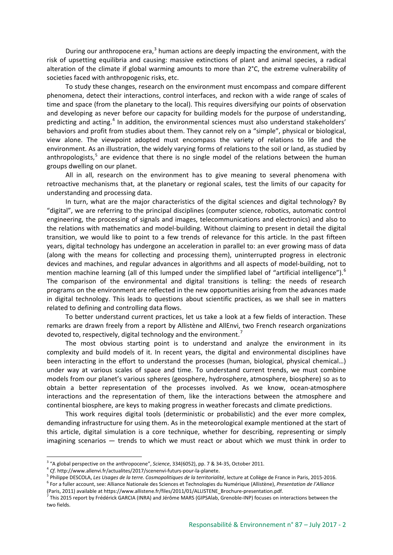During our anthropocene era, $3$  human actions are deeply impacting the environment, with the risk of upsetting equilibria and causing: massive extinctions of plant and animal species, a radical alteration of the climate if global warming amounts to more than 2°C, the extreme vulnerability of societies faced with anthropogenic risks, etc.

To study these changes, research on the environment must encompass and compare different phenomena, detect their interactions, control interfaces, and reckon with a wide range of scales of time and space (from the planetary to the local). This requires diversifying our points of observation and developing as never before our capacity for building models for the purpose of understanding, predicting and acting.<sup>[4](#page-1-1)</sup> In addition, the environmental sciences must also understand stakeholders' behaviors and profit from studies about them. They cannot rely on a "simple", physical or biological, view alone. The viewpoint adopted must encompass the variety of relations to life and the environment. As an illustration, the widely varying forms of relations to the soil or land, as studied by anthropologists, $5$  are evidence that there is no single model of the relations between the human groups dwelling on our planet.

All in all, research on the environment has to give meaning to several phenomena with retroactive mechanisms that, at the planetary or regional scales, test the limits of our capacity for understanding and processing data.

In turn, what are the major characteristics of the digital sciences and digital technology? By "digital", we are referring to the principal disciplines (computer science, robotics, automatic control engineering, the processing of signals and images, telecommunications and electronics) and also to the relations with mathematics and model-building. Without claiming to present in detail the digital transition, we would like to point to a few trends of relevance for this article. In the past fifteen years, digital technology has undergone an acceleration in parallel to: an ever growing mass of data (along with the means for collecting and processing them), uninterrupted progress in electronic devices and machines, and regular advances in algorithms and all aspects of model-building, not to mention machine learning (all of this lumped under the simplified label of "artificial intelligence").<sup>[6](#page-1-3)</sup> The comparison of the environmental and digital transitions is telling: the needs of research programs on the environment are reflected in the new opportunities arising from the advances made in digital technology. This leads to questions about scientific practices, as we shall see in matters related to defining and controlling data flows.

To better understand current practices, let us take a look at a few fields of interaction. These remarks are drawn freely from a report by Allistène and AllEnvi, two French research organizations devoted to, respectively, digital technology and the environment.<sup>[7](#page-1-4)</sup>

The most obvious starting point is to understand and analyze the environment in its complexity and build models of it. In recent years, the digital and environmental disciplines have been interacting in the effort to understand the processes (human, biological, physical chemical…) under way at various scales of space and time. To understand current trends, we must combine models from our planet's various spheres (geosphere, hydrosphere, atmosphere, biosphere) so as to obtain a better representation of the processes involved. As we know, ocean-atmosphere interactions and the representation of them, like the interactions between the atmosphere and continental biosphere, are keys to making progress in weather forecasts and climate predictions.

This work requires digital tools (deterministic or probabilistic) and the ever more complex, demanding infrastructure for using them. As in the meteorological example mentioned at the start of this article, digital simulation is a core technique, whether for describing, representing or simply imagining scenarios — trends to which we must react or about which we must think in order to

<sup>3</sup> "A global perspective on the anthropocene", *Science*, 334(6052), pp. 7 & 34-35, October 2011.

<span id="page-1-1"></span><span id="page-1-0"></span><sup>4</sup> *Cf.* http://www.allenvi.fr/actualites/2017/scenenvi-futurs-pour-la-planete.

<span id="page-1-3"></span><span id="page-1-2"></span><sup>5</sup> Philippe DESCOLA, *Les Usages de la terre. Cosmopolitiques de la territorialité*, lecture at Collège de France in Paris, 2015-2016. <sup>6</sup> For a fuller account, see: Alliance Nationale des Sciences et Technologies du Numérique (Allistène), *Presentation de l'Alliance*

<sup>(</sup>Paris, 2011) available at https://www.allistene.fr/files/2011/01/ALLISTENE\_Brochure-presentation.pdf.

<span id="page-1-4"></span> $\frac{1}{7}$  This 2015 report by Frédérick GARCIA (INRA) and Jérôme MARS (GIPSAlab, Grenoble-INP) focuses on interactions between the two fields.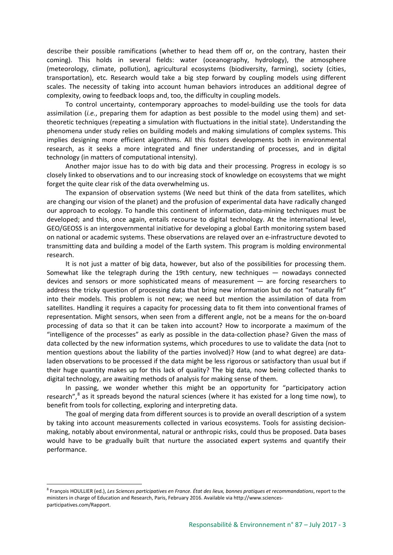describe their possible ramifications (whether to head them off or, on the contrary, hasten their coming). This holds in several fields: water (oceanography, hydrology), the atmosphere (meteorology, climate, pollution), agricultural ecosystems (biodiversity, farming), society (cities, transportation), etc. Research would take a big step forward by coupling models using different scales. The necessity of taking into account human behaviors introduces an additional degree of complexity, owing to feedback loops and, too, the difficulty in coupling models.

To control uncertainty, contemporary approaches to model-building use the tools for data assimilation (*i.e.*, preparing them for adaption as best possible to the model using them) and settheoretic techniques (repeating a simulation with fluctuations in the initial state). Understanding the phenomena under study relies on building models and making simulations of complex systems. This implies designing more efficient algorithms. All this fosters developments both in environmental research, as it seeks a more integrated and finer understanding of processes, and in digital technology (in matters of computational intensity).

Another major issue has to do with big data and their processing. Progress in ecology is so closely linked to observations and to our increasing stock of knowledge on ecosystems that we might forget the quite clear risk of the data overwhelming us.

The expansion of observation systems (We need but think of the data from satellites, which are changing our vision of the planet) and the profusion of experimental data have radically changed our approach to ecology. To handle this continent of information, data-mining techniques must be developed; and this, once again, entails recourse to digital technology. At the international level, GEO/GEOSS is an intergovernmental initiative for developing a global Earth monitoring system based on national or academic systems. These observations are relayed over an e-infrastructure devoted to transmitting data and building a model of the Earth system. This program is molding environmental research.

It is not just a matter of big data, however, but also of the possibilities for processing them. Somewhat like the telegraph during the 19th century, new techniques — nowadays connected devices and sensors or more sophisticated means of measurement — are forcing researchers to address the tricky question of processing data that bring new information but do not "naturally fit" into their models. This problem is not new; we need but mention the assimilation of data from satellites. Handling it requires a capacity for processing data to fit them into conventional frames of representation. Might sensors, when seen from a different angle, not be a means for the on-board processing of data so that it can be taken into account? How to incorporate a maximum of the "intelligence of the processes" as early as possible in the data-collection phase? Given the mass of data collected by the new information systems, which procedures to use to validate the data (not to mention questions about the liability of the parties involved)? How (and to what degree) are dataladen observations to be processed if the data might be less rigorous or satisfactory than usual but if their huge quantity makes up for this lack of quality? The big data, now being collected thanks to digital technology, are awaiting methods of analysis for making sense of them.

In passing, we wonder whether this might be an opportunity for "participatory action research",<sup>[8](#page-2-0)</sup> as it spreads beyond the natural sciences (where it has existed for a long time now), to benefit from tools for collecting, exploring and interpreting data.

The goal of merging data from different sources is to provide an overall description of a system by taking into account measurements collected in various ecosystems. Tools for assisting decisionmaking, notably about environmental, natural or anthropic risks, could thus be proposed. Data bases would have to be gradually built that nurture the associated expert systems and quantify their performance.

<span id="page-2-0"></span><sup>8</sup> François HOULLIER (ed.), *Les Sciences participatives en France. État des lieux, bonnes pratiques et recommandations*, report to the ministers in charge of Education and Research, Paris, February 2016. Available via http://www.sciencesparticipatives.com/Rapport.